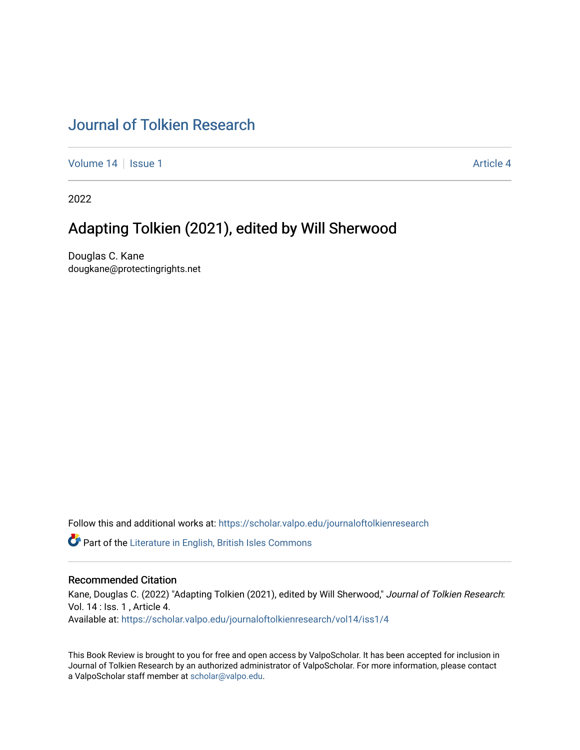# [Journal of Tolkien Research](https://scholar.valpo.edu/journaloftolkienresearch)

[Volume 14](https://scholar.valpo.edu/journaloftolkienresearch/vol14) | [Issue 1](https://scholar.valpo.edu/journaloftolkienresearch/vol14/iss1) Article 4

2022

# Adapting Tolkien (2021), edited by Will Sherwood

Douglas C. Kane dougkane@protectingrights.net

Follow this and additional works at: [https://scholar.valpo.edu/journaloftolkienresearch](https://scholar.valpo.edu/journaloftolkienresearch?utm_source=scholar.valpo.edu%2Fjournaloftolkienresearch%2Fvol14%2Fiss1%2F4&utm_medium=PDF&utm_campaign=PDFCoverPages) 

**C** Part of the [Literature in English, British Isles Commons](http://network.bepress.com/hgg/discipline/456?utm_source=scholar.valpo.edu%2Fjournaloftolkienresearch%2Fvol14%2Fiss1%2F4&utm_medium=PDF&utm_campaign=PDFCoverPages)

#### Recommended Citation

Kane, Douglas C. (2022) "Adapting Tolkien (2021), edited by Will Sherwood," Journal of Tolkien Research: Vol. 14 : Iss. 1 , Article 4. Available at: [https://scholar.valpo.edu/journaloftolkienresearch/vol14/iss1/4](https://scholar.valpo.edu/journaloftolkienresearch/vol14/iss1/4?utm_source=scholar.valpo.edu%2Fjournaloftolkienresearch%2Fvol14%2Fiss1%2F4&utm_medium=PDF&utm_campaign=PDFCoverPages) 

This Book Review is brought to you for free and open access by ValpoScholar. It has been accepted for inclusion in Journal of Tolkien Research by an authorized administrator of ValpoScholar. For more information, please contact a ValpoScholar staff member at [scholar@valpo.edu](mailto:scholar@valpo.edu).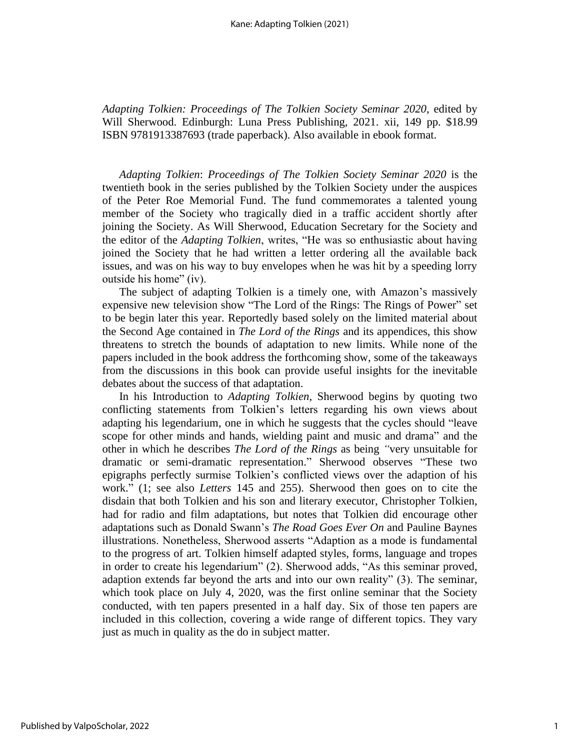*Adapting Tolkien: Proceedings of The Tolkien Society Seminar 2020*, edited by Will Sherwood. Edinburgh: Luna Press Publishing, 2021. xii, 149 pp. \$18.99 ISBN 9781913387693 (trade paperback). Also available in ebook format.

*Adapting Tolkien*: *Proceedings of The Tolkien Society Seminar 2020* is the twentieth book in the series published by the Tolkien Society under the auspices of the Peter Roe Memorial Fund. The fund commemorates a talented young member of the Society who tragically died in a traffic accident shortly after joining the Society. As Will Sherwood, Education Secretary for the Society and the editor of the *Adapting Tolkien*, writes, "He was so enthusiastic about having joined the Society that he had written a letter ordering all the available back issues, and was on his way to buy envelopes when he was hit by a speeding lorry outside his home" (iv).

The subject of adapting Tolkien is a timely one, with Amazon's massively expensive new television show "The Lord of the Rings: The Rings of Power" set to be begin later this year. Reportedly based solely on the limited material about the Second Age contained in *The Lord of the Rings* and its appendices, this show threatens to stretch the bounds of adaptation to new limits. While none of the papers included in the book address the forthcoming show, some of the takeaways from the discussions in this book can provide useful insights for the inevitable debates about the success of that adaptation.

In his Introduction to *Adapting Tolkien*, Sherwood begins by quoting two conflicting statements from Tolkien's letters regarding his own views about adapting his legendarium, one in which he suggests that the cycles should "leave scope for other minds and hands, wielding paint and music and drama" and the other in which he describes *The Lord of the Rings* as being *"*very unsuitable for dramatic or semi-dramatic representation." Sherwood observes "These two epigraphs perfectly surmise Tolkien's conflicted views over the adaption of his work." (1; see also *Letters* 145 and 255). Sherwood then goes on to cite the disdain that both Tolkien and his son and literary executor, Christopher Tolkien, had for radio and film adaptations, but notes that Tolkien did encourage other adaptations such as Donald Swann's *The Road Goes Ever On* and Pauline Baynes illustrations. Nonetheless, Sherwood asserts "Adaption as a mode is fundamental to the progress of art. Tolkien himself adapted styles, forms, language and tropes in order to create his legendarium" (2). Sherwood adds, "As this seminar proved, adaption extends far beyond the arts and into our own reality" (3). The seminar, which took place on July 4, 2020, was the first online seminar that the Society conducted, with ten papers presented in a half day. Six of those ten papers are included in this collection, covering a wide range of different topics. They vary just as much in quality as the do in subject matter.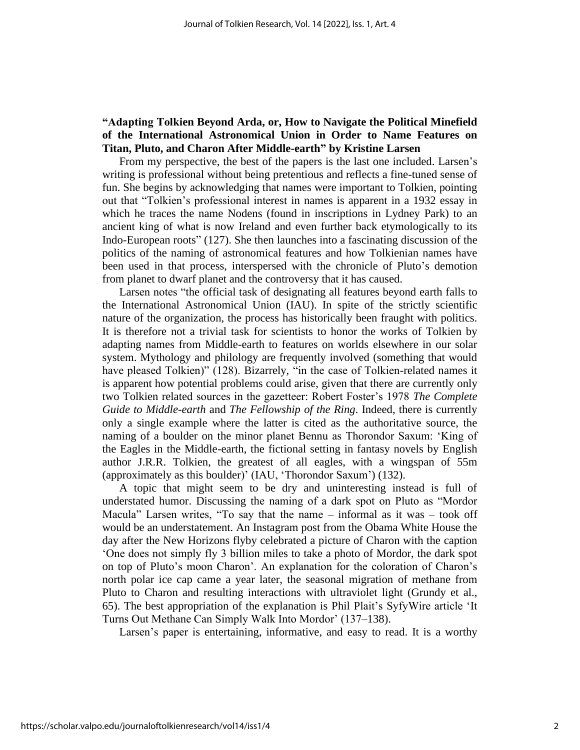### **"Adapting Tolkien Beyond Arda, or, How to Navigate the Political Minefield of the International Astronomical Union in Order to Name Features on Titan, Pluto, and Charon After Middle-earth" by Kristine Larsen**

From my perspective, the best of the papers is the last one included. Larsen's writing is professional without being pretentious and reflects a fine-tuned sense of fun. She begins by acknowledging that names were important to Tolkien, pointing out that "Tolkien's professional interest in names is apparent in a 1932 essay in which he traces the name Nodens (found in inscriptions in Lydney Park) to an ancient king of what is now Ireland and even further back etymologically to its Indo-European roots" (127). She then launches into a fascinating discussion of the politics of the naming of astronomical features and how Tolkienian names have been used in that process, interspersed with the chronicle of Pluto's demotion from planet to dwarf planet and the controversy that it has caused.

Larsen notes "the official task of designating all features beyond earth falls to the International Astronomical Union (IAU). In spite of the strictly scientific nature of the organization, the process has historically been fraught with politics. It is therefore not a trivial task for scientists to honor the works of Tolkien by adapting names from Middle-earth to features on worlds elsewhere in our solar system. Mythology and philology are frequently involved (something that would have pleased Tolkien)" (128). Bizarrely, "in the case of Tolkien-related names it is apparent how potential problems could arise, given that there are currently only two Tolkien related sources in the gazetteer: Robert Foster's 1978 *The Complete Guide to Middle-earth* and *The Fellowship of the Ring*. Indeed, there is currently only a single example where the latter is cited as the authoritative source, the naming of a boulder on the minor planet Bennu as Thorondor Saxum: 'King of the Eagles in the Middle-earth, the fictional setting in fantasy novels by English author J.R.R. Tolkien, the greatest of all eagles, with a wingspan of 55m (approximately as this boulder)' (IAU, 'Thorondor Saxum') (132).

A topic that might seem to be dry and uninteresting instead is full of understated humor. Discussing the naming of a dark spot on Pluto as "Mordor Macula" Larsen writes, "To say that the name – informal as it was – took off would be an understatement. An Instagram post from the Obama White House the day after the New Horizons flyby celebrated a picture of Charon with the caption 'One does not simply fly 3 billion miles to take a photo of Mordor, the dark spot on top of Pluto's moon Charon'. An explanation for the coloration of Charon's north polar ice cap came a year later, the seasonal migration of methane from Pluto to Charon and resulting interactions with ultraviolet light (Grundy et al., 65). The best appropriation of the explanation is Phil Plait's SyfyWire article 'It Turns Out Methane Can Simply Walk Into Mordor' (137–138).

Larsen's paper is entertaining, informative, and easy to read. It is a worthy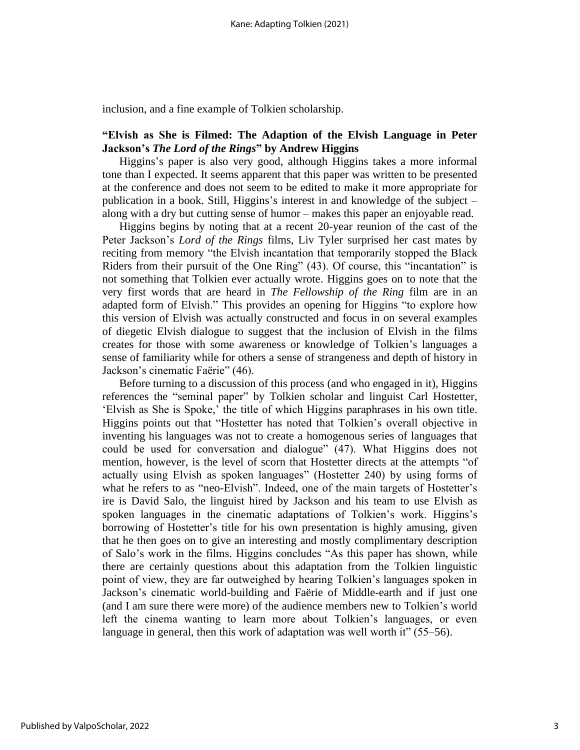inclusion, and a fine example of Tolkien scholarship.

#### **"Elvish as She is Filmed: The Adaption of the Elvish Language in Peter Jackson's** *The Lord of the Rings***" by Andrew Higgins**

Higgins's paper is also very good, although Higgins takes a more informal tone than I expected. It seems apparent that this paper was written to be presented at the conference and does not seem to be edited to make it more appropriate for publication in a book. Still, Higgins's interest in and knowledge of the subject – along with a dry but cutting sense of humor – makes this paper an enjoyable read.

Higgins begins by noting that at a recent 20-year reunion of the cast of the Peter Jackson's *Lord of the Rings* films, Liv Tyler surprised her cast mates by reciting from memory "the Elvish incantation that temporarily stopped the Black Riders from their pursuit of the One Ring" (43). Of course, this "incantation" is not something that Tolkien ever actually wrote. Higgins goes on to note that the very first words that are heard in *The Fellowship of the Ring* film are in an adapted form of Elvish." This provides an opening for Higgins "to explore how this version of Elvish was actually constructed and focus in on several examples of diegetic Elvish dialogue to suggest that the inclusion of Elvish in the films creates for those with some awareness or knowledge of Tolkien's languages a sense of familiarity while for others a sense of strangeness and depth of history in Jackson's cinematic Faërie" (46).

Before turning to a discussion of this process (and who engaged in it), Higgins references the "seminal paper" by Tolkien scholar and linguist Carl Hostetter, 'Elvish as She is Spoke,' the title of which Higgins paraphrases in his own title. Higgins points out that "Hostetter has noted that Tolkien's overall objective in inventing his languages was not to create a homogenous series of languages that could be used for conversation and dialogue" (47). What Higgins does not mention, however, is the level of scorn that Hostetter directs at the attempts "of actually using Elvish as spoken languages" (Hostetter 240) by using forms of what he refers to as "neo-Elvish". Indeed, one of the main targets of Hostetter's ire is David Salo, the linguist hired by Jackson and his team to use Elvish as spoken languages in the cinematic adaptations of Tolkien's work. Higgins's borrowing of Hostetter's title for his own presentation is highly amusing, given that he then goes on to give an interesting and mostly complimentary description of Salo's work in the films. Higgins concludes "As this paper has shown, while there are certainly questions about this adaptation from the Tolkien linguistic point of view, they are far outweighed by hearing Tolkien's languages spoken in Jackson's cinematic world-building and Faërie of Middle-earth and if just one (and I am sure there were more) of the audience members new to Tolkien's world left the cinema wanting to learn more about Tolkien's languages, or even language in general, then this work of adaptation was well worth it" (55–56).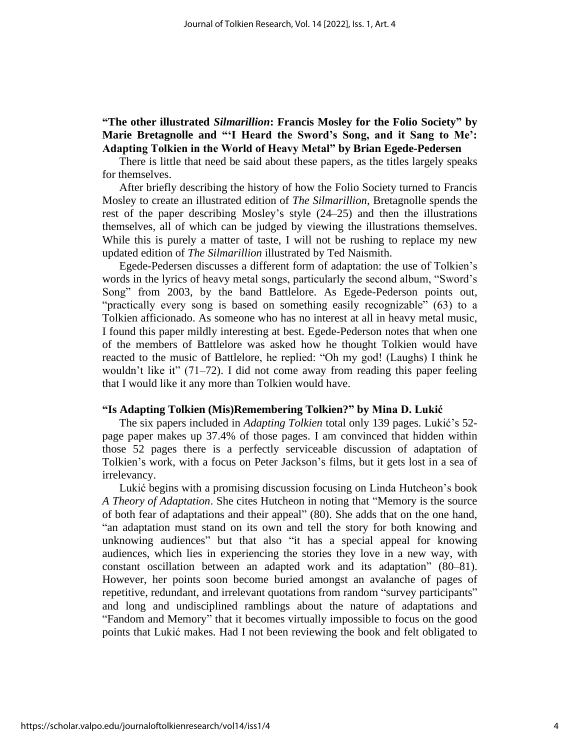## **"The other illustrated** *Silmarillion***: Francis Mosley for the Folio Society" by Marie Bretagnolle and "'I Heard the Sword's Song, and it Sang to Me': Adapting Tolkien in the World of Heavy Metal" by Brian Egede-Pedersen**

There is little that need be said about these papers, as the titles largely speaks for themselves.

After briefly describing the history of how the Folio Society turned to Francis Mosley to create an illustrated edition of *The Silmarillion*, Bretagnolle spends the rest of the paper describing Mosley's style (24–25) and then the illustrations themselves, all of which can be judged by viewing the illustrations themselves. While this is purely a matter of taste, I will not be rushing to replace my new updated edition of *The Silmarillion* illustrated by Ted Naismith.

Egede-Pedersen discusses a different form of adaptation: the use of Tolkien's words in the lyrics of heavy metal songs, particularly the second album, "Sword's Song" from 2003, by the band Battlelore. As Egede-Pederson points out, "practically every song is based on something easily recognizable" (63) to a Tolkien afficionado. As someone who has no interest at all in heavy metal music, I found this paper mildly interesting at best. Egede-Pederson notes that when one of the members of Battlelore was asked how he thought Tolkien would have reacted to the music of Battlelore, he replied: "Oh my god! (Laughs) I think he wouldn't like it" (71–72). I did not come away from reading this paper feeling that I would like it any more than Tolkien would have.

#### **"Is Adapting Tolkien (Mis)Remembering Tolkien?" by Mina D. Lukić**

The six papers included in *Adapting Tolkien* total only 139 pages. Lukić's 52 page paper makes up 37.4% of those pages. I am convinced that hidden within those 52 pages there is a perfectly serviceable discussion of adaptation of Tolkien's work, with a focus on Peter Jackson's films, but it gets lost in a sea of irrelevancy.

Lukić begins with a promising discussion focusing on Linda Hutcheon's book *A Theory of Adaptation*. She cites Hutcheon in noting that "Memory is the source of both fear of adaptations and their appeal" (80). She adds that on the one hand, "an adaptation must stand on its own and tell the story for both knowing and unknowing audiences" but that also "it has a special appeal for knowing audiences, which lies in experiencing the stories they love in a new way, with constant oscillation between an adapted work and its adaptation" (80–81). However, her points soon become buried amongst an avalanche of pages of repetitive, redundant, and irrelevant quotations from random "survey participants" and long and undisciplined ramblings about the nature of adaptations and "Fandom and Memory" that it becomes virtually impossible to focus on the good points that Lukić makes. Had I not been reviewing the book and felt obligated to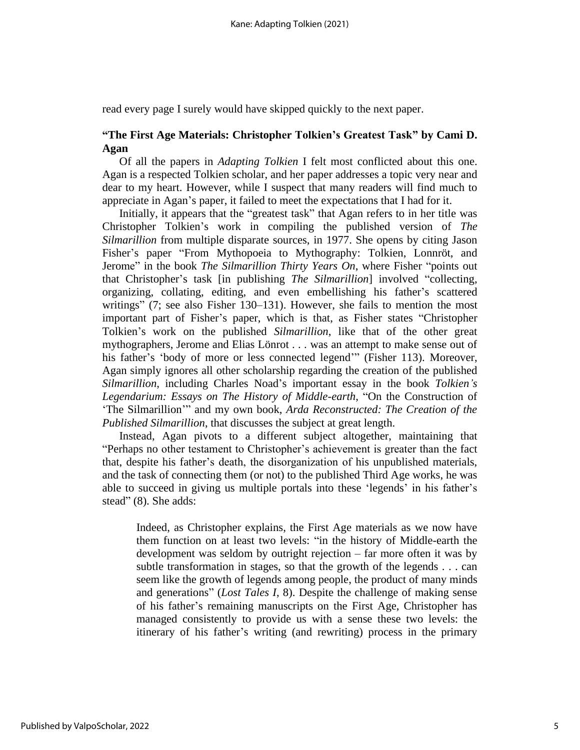read every page I surely would have skipped quickly to the next paper.

### **"The First Age Materials: Christopher Tolkien's Greatest Task" by Cami D. Agan**

Of all the papers in *Adapting Tolkien* I felt most conflicted about this one. Agan is a respected Tolkien scholar, and her paper addresses a topic very near and dear to my heart. However, while I suspect that many readers will find much to appreciate in Agan's paper, it failed to meet the expectations that I had for it.

Initially, it appears that the "greatest task" that Agan refers to in her title was Christopher Tolkien's work in compiling the published version of *The Silmarillion* from multiple disparate sources, in 1977. She opens by citing Jason Fisher's paper "From Mythopoeia to Mythography: Tolkien, Lonnröt, and Jerome" in the book *The Silmarillion Thirty Years On*, where Fisher "points out that Christopher's task [in publishing *The Silmarillion*] involved "collecting, organizing, collating, editing, and even embellishing his father's scattered writings" (7; see also Fisher 130–131). However, she fails to mention the most important part of Fisher's paper, which is that, as Fisher states "Christopher Tolkien's work on the published *Silmarillion*, like that of the other great mythographers, Jerome and Elias Lönrot . . . was an attempt to make sense out of his father's 'body of more or less connected legend'" (Fisher 113). Moreover, Agan simply ignores all other scholarship regarding the creation of the published *Silmarillion*, including Charles Noad's important essay in the book *Tolkien's Legendarium: Essays on The History of Middle-earth*, "On the Construction of 'The Silmarillion'" and my own book, *Arda Reconstructed: The Creation of the Published Silmarillion*, that discusses the subject at great length.

Instead, Agan pivots to a different subject altogether, maintaining that "Perhaps no other testament to Christopher's achievement is greater than the fact that, despite his father's death, the disorganization of his unpublished materials, and the task of connecting them (or not) to the published Third Age works, he was able to succeed in giving us multiple portals into these 'legends' in his father's stead" (8). She adds:

Indeed, as Christopher explains, the First Age materials as we now have them function on at least two levels: "in the history of Middle-earth the development was seldom by outright rejection – far more often it was by subtle transformation in stages, so that the growth of the legends . . . can seem like the growth of legends among people, the product of many minds and generations" (*Lost Tales I*, 8). Despite the challenge of making sense of his father's remaining manuscripts on the First Age, Christopher has managed consistently to provide us with a sense these two levels: the itinerary of his father's writing (and rewriting) process in the primary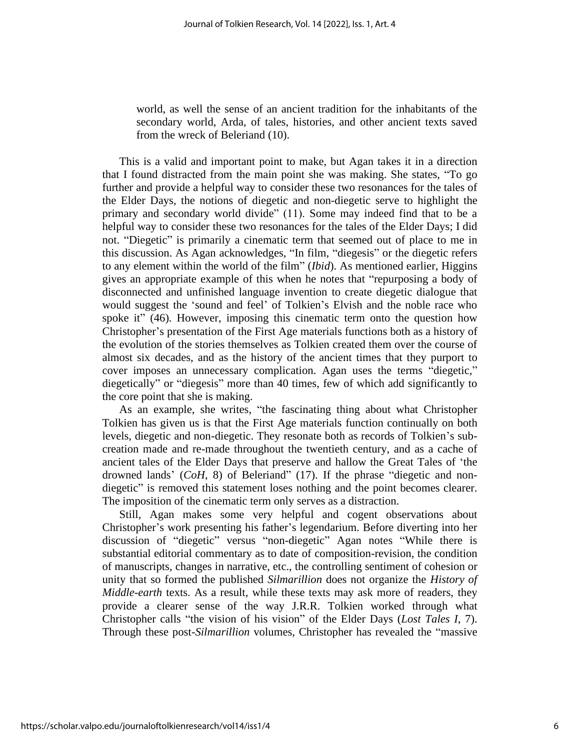world, as well the sense of an ancient tradition for the inhabitants of the secondary world, Arda, of tales, histories, and other ancient texts saved from the wreck of Beleriand (10).

This is a valid and important point to make, but Agan takes it in a direction that I found distracted from the main point she was making. She states, "To go further and provide a helpful way to consider these two resonances for the tales of the Elder Days, the notions of diegetic and non-diegetic serve to highlight the primary and secondary world divide" (11). Some may indeed find that to be a helpful way to consider these two resonances for the tales of the Elder Days; I did not. "Diegetic" is primarily a cinematic term that seemed out of place to me in this discussion. As Agan acknowledges, "In film, "diegesis" or the diegetic refers to any element within the world of the film" (*Ibid*). As mentioned earlier, Higgins gives an appropriate example of this when he notes that "repurposing a body of disconnected and unfinished language invention to create diegetic dialogue that would suggest the 'sound and feel' of Tolkien's Elvish and the noble race who spoke it" (46). However, imposing this cinematic term onto the question how Christopher's presentation of the First Age materials functions both as a history of the evolution of the stories themselves as Tolkien created them over the course of almost six decades, and as the history of the ancient times that they purport to cover imposes an unnecessary complication. Agan uses the terms "diegetic," diegetically" or "diegesis" more than 40 times, few of which add significantly to the core point that she is making.

As an example, she writes, "the fascinating thing about what Christopher Tolkien has given us is that the First Age materials function continually on both levels, diegetic and non-diegetic. They resonate both as records of Tolkien's subcreation made and re-made throughout the twentieth century, and as a cache of ancient tales of the Elder Days that preserve and hallow the Great Tales of 'the drowned lands' (*CoH*, 8) of Beleriand" (17). If the phrase "diegetic and nondiegetic" is removed this statement loses nothing and the point becomes clearer. The imposition of the cinematic term only serves as a distraction.

Still, Agan makes some very helpful and cogent observations about Christopher's work presenting his father's legendarium. Before diverting into her discussion of "diegetic" versus "non-diegetic" Agan notes "While there is substantial editorial commentary as to date of composition-revision, the condition of manuscripts, changes in narrative, etc., the controlling sentiment of cohesion or unity that so formed the published *Silmarillion* does not organize the *History of Middle-earth* texts. As a result, while these texts may ask more of readers, they provide a clearer sense of the way J.R.R. Tolkien worked through what Christopher calls "the vision of his vision" of the Elder Days (*Lost Tales I*, 7). Through these post-*Silmarillion* volumes, Christopher has revealed the "massive